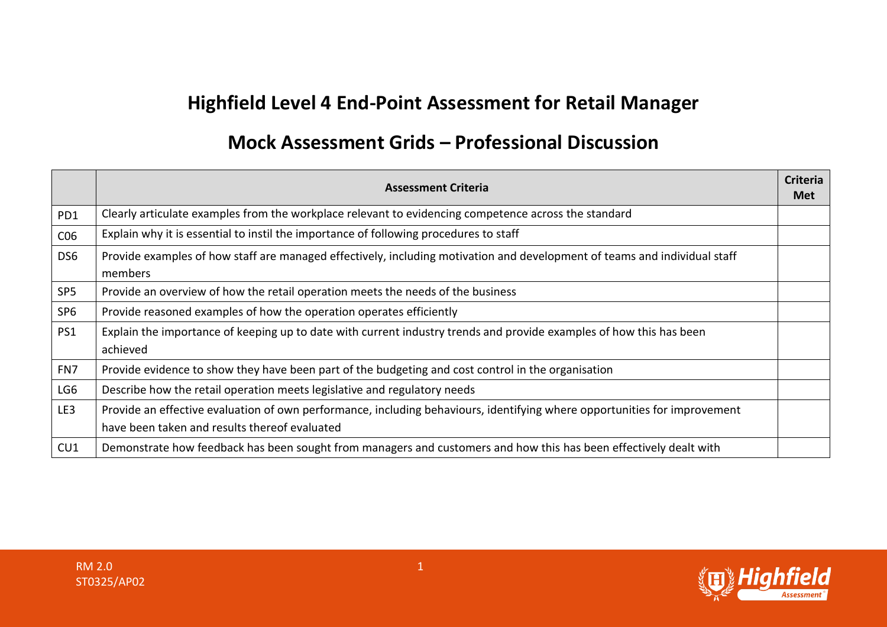## **Highfield Level 4 End-Point Assessment for Retail Manager**

## **Mock Assessment Grids – Professional Discussion**

|                 | <b>Assessment Criteria</b>                                                                                                                                                 | <b>Criteria</b><br><b>Met</b> |
|-----------------|----------------------------------------------------------------------------------------------------------------------------------------------------------------------------|-------------------------------|
| PD1             | Clearly articulate examples from the workplace relevant to evidencing competence across the standard                                                                       |                               |
| CO6             | Explain why it is essential to instil the importance of following procedures to staff                                                                                      |                               |
| DS <sub>6</sub> | Provide examples of how staff are managed effectively, including motivation and development of teams and individual staff<br>members                                       |                               |
| SP <sub>5</sub> | Provide an overview of how the retail operation meets the needs of the business                                                                                            |                               |
| SP <sub>6</sub> | Provide reasoned examples of how the operation operates efficiently                                                                                                        |                               |
| PS1             | Explain the importance of keeping up to date with current industry trends and provide examples of how this has been<br>achieved                                            |                               |
| FN7             | Provide evidence to show they have been part of the budgeting and cost control in the organisation                                                                         |                               |
| LG6             | Describe how the retail operation meets legislative and regulatory needs                                                                                                   |                               |
| LE3             | Provide an effective evaluation of own performance, including behaviours, identifying where opportunities for improvement<br>have been taken and results thereof evaluated |                               |
| CU1             | Demonstrate how feedback has been sought from managers and customers and how this has been effectively dealt with                                                          |                               |